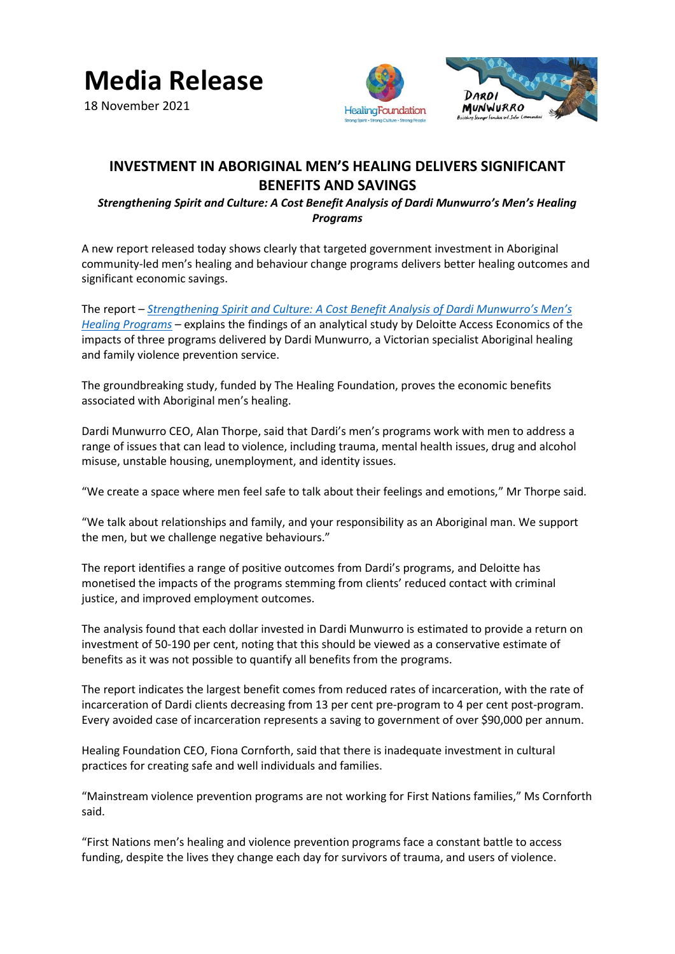

18 November 2021





## **INVESTMENT IN ABORIGINAL MEN'S HEALING DELIVERS SIGNIFICANT BENEFITS AND SAVINGS**

*Strengthening Spirit and Culture: A Cost Benefit Analysis of Dardi Munwurro's Men's Healing Programs*

A new report released today shows clearly that targeted government investment in Aboriginal community-led men's healing and behaviour change programs delivers better healing outcomes and significant economic savings.

The report *– Strengthening Spirit [and Culture: A Cost Benefit Analysis of Dardi Munwurro's Men's](https://www.dardimunwurro.com.au/)  [Healing Programs](https://www.dardimunwurro.com.au/) –* explains the findings of an analytical study by Deloitte Access Economics of the impacts of three programs delivered by Dardi Munwurro, a Victorian specialist Aboriginal healing and family violence prevention service.

The groundbreaking study, funded by The Healing Foundation, proves the economic benefits associated with Aboriginal men's healing.

Dardi Munwurro CEO, Alan Thorpe, said that Dardi's men's programs work with men to address a range of issues that can lead to violence, including trauma, mental health issues, drug and alcohol misuse, unstable housing, unemployment, and identity issues.

"We create a space where men feel safe to talk about their feelings and emotions," Mr Thorpe said.

"We talk about relationships and family, and your responsibility as an Aboriginal man. We support the men, but we challenge negative behaviours."

The report identifies a range of positive outcomes from Dardi's programs, and Deloitte has monetised the impacts of the programs stemming from clients' reduced contact with criminal justice, and improved employment outcomes.

The analysis found that each dollar invested in Dardi Munwurro is estimated to provide a return on investment of 50-190 per cent, noting that this should be viewed as a conservative estimate of benefits as it was not possible to quantify all benefits from the programs.

The report indicates the largest benefit comes from reduced rates of incarceration, with the rate of incarceration of Dardi clients decreasing from 13 per cent pre-program to 4 per cent post-program. Every avoided case of incarceration represents a saving to government of over \$90,000 per annum.

Healing Foundation CEO, Fiona Cornforth, said that there is inadequate investment in cultural practices for creating safe and well individuals and families.

"Mainstream violence prevention programs are not working for First Nations families," Ms Cornforth said.

"First Nations men's healing and violence prevention programs face a constant battle to access funding, despite the lives they change each day for survivors of trauma, and users of violence.